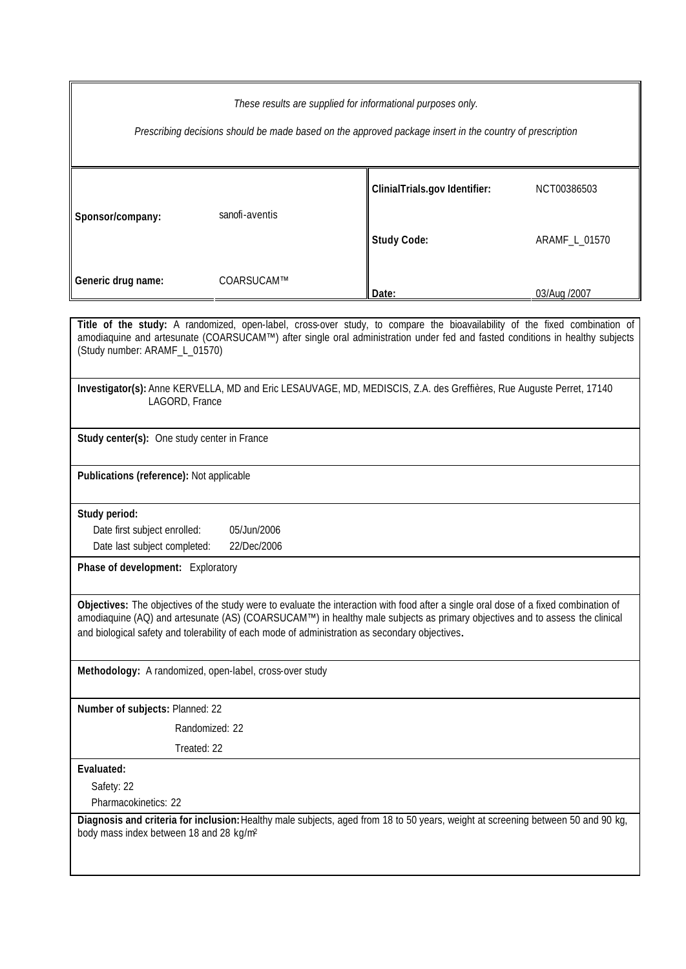| These results are supplied for informational purposes only.<br>Prescribing decisions should be made based on the approved package insert in the country of prescription                                                                                                                                                                                                |                                             |                               |               |  |  |  |
|------------------------------------------------------------------------------------------------------------------------------------------------------------------------------------------------------------------------------------------------------------------------------------------------------------------------------------------------------------------------|---------------------------------------------|-------------------------------|---------------|--|--|--|
| Sponsor/company:                                                                                                                                                                                                                                                                                                                                                       | sanofi-aventis                              | ClinialTrials.gov Identifier: | NCT00386503   |  |  |  |
| Generic drug name:                                                                                                                                                                                                                                                                                                                                                     | COARSUCAM™                                  | <b>Study Code:</b>            | ARAMF_L_01570 |  |  |  |
|                                                                                                                                                                                                                                                                                                                                                                        |                                             | Date:                         | 03/Aug /2007  |  |  |  |
|                                                                                                                                                                                                                                                                                                                                                                        |                                             |                               |               |  |  |  |
| Title of the study: A randomized, open-label, cross-over study, to compare the bioavailability of the fixed combination of<br>amodiaquine and artesunate (COARSUCAM™) after single oral administration under fed and fasted conditions in healthy subjects<br>(Study number: ARAMF_L_01570)                                                                            |                                             |                               |               |  |  |  |
| Investigator(s): Anne KERVELLA, MD and Eric LESAUVAGE, MD, MEDISCIS, Z.A. des Greffières, Rue Auguste Perret, 17140<br>LAGORD, France                                                                                                                                                                                                                                  |                                             |                               |               |  |  |  |
| Study center(s): One study center in France                                                                                                                                                                                                                                                                                                                            |                                             |                               |               |  |  |  |
| Publications (reference): Not applicable                                                                                                                                                                                                                                                                                                                               |                                             |                               |               |  |  |  |
| Study period:                                                                                                                                                                                                                                                                                                                                                          |                                             |                               |               |  |  |  |
|                                                                                                                                                                                                                                                                                                                                                                        | Date first subject enrolled:<br>05/Jun/2006 |                               |               |  |  |  |
| Date last subject completed:<br>22/Dec/2006                                                                                                                                                                                                                                                                                                                            |                                             |                               |               |  |  |  |
| Phase of development: Exploratory                                                                                                                                                                                                                                                                                                                                      |                                             |                               |               |  |  |  |
| Objectives: The objectives of the study were to evaluate the interaction with food after a single oral dose of a fixed combination of<br>amodiaquine (AQ) and artesunate (AS) (COARSUCAM™) in healthy male subjects as primary objectives and to assess the clinical<br>and biological safety and tolerability of each mode of administration as secondary objectives. |                                             |                               |               |  |  |  |
| Methodology: A randomized, open-label, cross-over study                                                                                                                                                                                                                                                                                                                |                                             |                               |               |  |  |  |
| Number of subjects: Planned: 22                                                                                                                                                                                                                                                                                                                                        |                                             |                               |               |  |  |  |
| Randomized: 22                                                                                                                                                                                                                                                                                                                                                         |                                             |                               |               |  |  |  |
| Treated: 22                                                                                                                                                                                                                                                                                                                                                            |                                             |                               |               |  |  |  |
| Evaluated:                                                                                                                                                                                                                                                                                                                                                             |                                             |                               |               |  |  |  |
| Safety: 22                                                                                                                                                                                                                                                                                                                                                             |                                             |                               |               |  |  |  |
| Pharmacokinetics: 22                                                                                                                                                                                                                                                                                                                                                   |                                             |                               |               |  |  |  |
| Diagnosis and criteria for inclusion: Healthy male subjects, aged from 18 to 50 years, weight at screening between 50 and 90 kg,<br>body mass index between 18 and 28 kg/m <sup>2</sup>                                                                                                                                                                                |                                             |                               |               |  |  |  |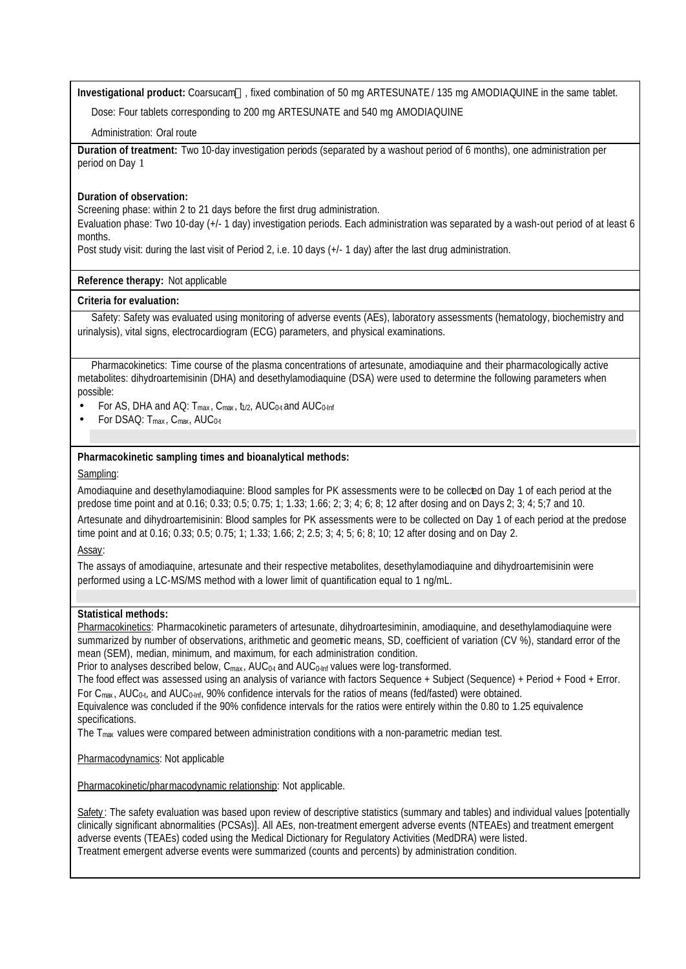**Investigational product:** Coarsucam™, fixed combination of 50 mg ARTESUNATE / 135 mg AMODIAQUINE in the same tablet.

Dose: Four tablets corresponding to 200 mg ARTESUNATE and 540 mg AMODIAQUINE

Administration: Oral route

**Duration of treatment:** Two 10-day investigation periods (separated by a washout period of 6 months), one administration per period on Day 1

# **Duration of observation:**

Screening phase: within 2 to 21 days before the first drug administration.

Evaluation phase: Two 10-day (+/- 1 day) investigation periods. Each administration was separated by a wash-out period of at least 6 months.

Post study visit: during the last visit of Period 2, i.e. 10 days (+/- 1 day) after the last drug administration.

# **Reference therapy:** Not applicable

### **Criteria for evaluation:**

Safety: Safety was evaluated using monitoring of adverse events (AEs), laboratory assessments (hematology, biochemistry and urinalysis), vital signs, electrocardiogram (ECG) parameters, and physical examinations.

Pharmacokinetics: Time course of the plasma concentrations of artesunate, amodiaquine and their pharmacologically active metabolites: dihydroartemisinin (DHA) and desethylamodiaquine (DSA) were used to determine the following parameters when possible:

- For AS, DHA and AQ:  $T_{max}$ ,  $C_{max}$ ,  $t_{1/2}$ ,  $AUC_{0.1}$  and  $AUC_{0.1}$
- For DSAQ:  $T_{\text{max}}$ ,  $C_{\text{max}}$ ,  $AUC_{0:t}$

### **Pharmacokinetic sampling times and bioanalytical methods:**

### Sampling:

Amodiaquine and desethylamodiaquine: Blood samples for PK assessments were to be collected on Day 1 of each period at the predose time point and at 0.16; 0.33; 0.5; 0.75; 1; 1.33; 1.66; 2; 3; 4; 6; 8; 12 after dosing and on Days 2; 3; 4; 5;7 and 10. Artesunate and dihydroartemisinin: Blood samples for PK assessments were to be collected on Day 1 of each period at the predose time point and at 0.16; 0.33; 0.5; 0.75; 1; 1.33; 1.66; 2; 2.5; 3; 4; 5; 6; 8; 10; 12 after dosing and on Day 2.

Assay:

The assays of amodiaquine, artesunate and their respective metabolites, desethylamodiaquine and dihydroartemisinin were performed using a LC-MS/MS method with a lower limit of quantification equal to 1 ng/mL.

### **Statistical methods:**

Pharmacokinetics: Pharmacokinetic parameters of artesunate, dihydroartesiminin, amodiaquine, and desethylamodiaquine were summarized by number of observations, arithmetic and geometic means, SD, coefficient of variation (CV %), standard error of the mean (SEM), median, minimum, and maximum, for each administration condition.

Prior to analyses described below, C<sub>max</sub>, AUC<sub>0-t</sub> and AUC<sub>0-lnf</sub> values were log-transformed.

The food effect was assessed using an analysis of variance with factors Sequence + Subject (Sequence) + Period + Food + Error. For  $C_{\text{max}}$ , AUC<sub>0-t</sub>, and AUC<sub>0-Inf</sub>, 90% confidence intervals for the ratios of means (fed/fasted) were obtained.

Equivalence was concluded if the 90% confidence intervals for the ratios were entirely within the 0.80 to 1.25 equivalence specifications.

The  $T_{\text{max}}$  values were compared between administration conditions with a non-parametric median test.

Pharmacodynamics: Not applicable

Pharmacokinetic/pharmacodynamic relationship: Not applicable.

Safety: The safety evaluation was based upon review of descriptive statistics (summary and tables) and individual values [potentially clinically significant abnormalities (PCSAs)]. All AEs, non-treatment emergent adverse events (NTEAEs) and treatment emergent adverse events (TEAEs) coded using the Medical Dictionary for Regulatory Activities (MedDRA) were listed. Treatment emergent adverse events were summarized (counts and percents) by administration condition.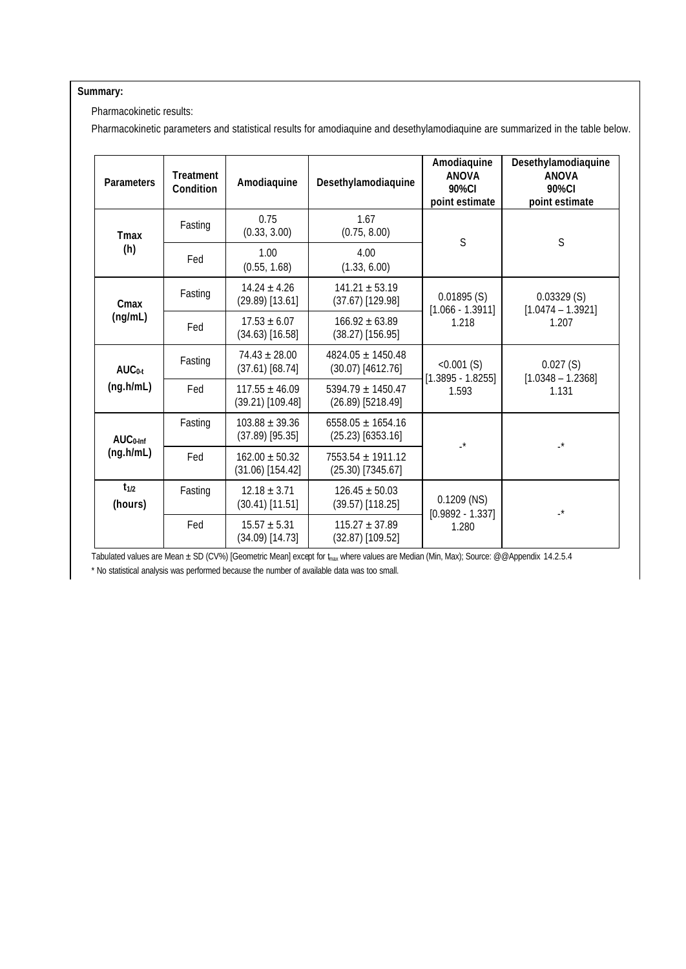# **Summary:**

Pharmacokinetic results:

Pharmacokinetic parameters and statistical results for amodiaquine and desethylamodiaquine are summarized in the table below.

| <b>Parameters</b>       | <b>Treatment</b><br>Condition | Amodiaquine                              | Desethylamodiaquine                          | Amodiaquine<br><b>ANOVA</b><br>90%CI<br>point estimate | Desethylamodiaquine<br><b>ANOVA</b><br>90%CI<br>point estimate |
|-------------------------|-------------------------------|------------------------------------------|----------------------------------------------|--------------------------------------------------------|----------------------------------------------------------------|
| <b>Tmax</b><br>(h)      | Fasting                       | 0.75<br>(0.33, 3.00)                     | 1.67<br>(0.75, 8.00)                         | S                                                      | S                                                              |
|                         | Fed                           | 1.00<br>(0.55, 1.68)                     | 4.00<br>(1.33, 6.00)                         |                                                        |                                                                |
| Cmax<br>(ng/mL)         | Fasting                       | $14.24 \pm 4.26$<br>$(29.89)$ [13.61]    | $141.21 \pm 53.19$<br>$(37.67)$ [129.98]     | 0.01895(S)<br>$[1.066 - 1.3911]$<br>1.218              | 0.03329(S)<br>$[1.0474 - 1.3921]$<br>1.207                     |
|                         | Fed                           | $17.53 \pm 6.07$<br>$(34.63)$ [16.58]    | $166.92 \pm 63.89$<br>$(38.27)$ [156.95]     |                                                        |                                                                |
| $AUC0-t$<br>(ng.h/mL)   | Fasting                       | $74.43 \pm 28.00$<br>$(37.61)$ [68.74]   | $4824.05 + 1450.48$<br>$(30.07)$ [4612.76]   | $< 0.001$ (S)<br>$[1.3895 - 1.8255]$<br>1.593          | 0.027(S)<br>$[1.0348 - 1.2368]$<br>1.131                       |
|                         | Fed                           | $117.55 \pm 46.09$<br>$(39.21)$ [109.48] | $5394.79 \pm 1450.47$<br>$(26.89)$ [5218.49] |                                                        |                                                                |
| $AUC0-Inf$<br>(ng.h/mL) | Fasting                       | $103.88 \pm 39.36$<br>$(37.89)$ [95.35]  | $6558.05 \pm 1654.16$<br>$(25.23)$ [6353.16] | $\mathbf{L}^{\star}$                                   | $\mathbf{r}^*$                                                 |
|                         | Fed                           | $162.00 \pm 50.32$<br>$(31.06)$ [154.42] | 7553.54 ± 1911.12<br>$(25.30)$ [7345.67]     |                                                        |                                                                |
| $t_{1/2}$<br>(hours)    | Fasting                       | $12.18 \pm 3.71$<br>$(30.41)$ [11.51]    | $126.45 \pm 50.03$<br>$(39.57)$ [118.25]     | $0.1209$ (NS)<br>$[0.9892 - 1.337]$<br>1.280           | $\mathbf{r}^*$                                                 |
|                         | Fed                           | $15.57 \pm 5.31$<br>$(34.09)$ [14.73]    | $115.27 \pm 37.89$<br>$(32.87)$ [109.52]     |                                                        |                                                                |

Tabulated values are Mean ± SD (CV%) [Geometric Mean] except for t<sub>nax</sub> where values are Median (Min, Max); Source: @@Appendix 14.2.5.4

\* No statistical analysis was performed because the number of available data was too small.